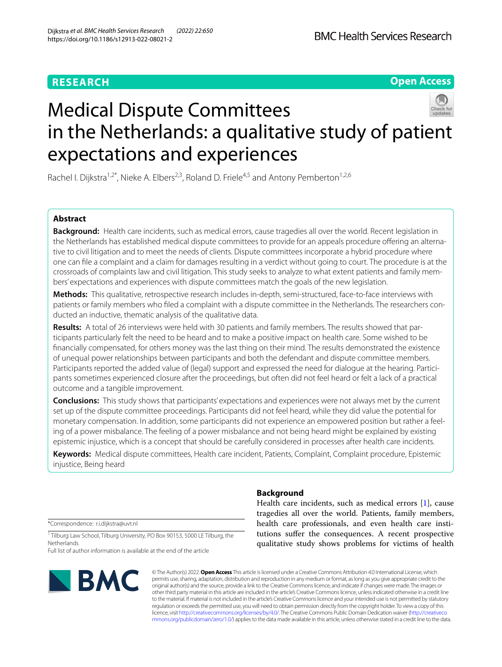# **RESEARCH**

# **Open Access**

# Medical Dispute Committees in the Netherlands: a qualitative study of patient expectations and experiences

Rachel I. Dijkstra<sup>1,2\*</sup>, Nieke A. Elbers<sup>2,3</sup>, Roland D. Friele<sup>4,5</sup> and Antony Pemberton<sup>1,2,6</sup>

# **Abstract**

**Background:** Health care incidents, such as medical errors, cause tragedies all over the world. Recent legislation in the Netherlands has established medical dispute committees to provide for an appeals procedure ofering an alternative to civil litigation and to meet the needs of clients. Dispute committees incorporate a hybrid procedure where one can fle a complaint and a claim for damages resulting in a verdict without going to court. The procedure is at the crossroads of complaints law and civil litigation. This study seeks to analyze to what extent patients and family members' expectations and experiences with dispute committees match the goals of the new legislation.

**Methods:** This qualitative, retrospective research includes in-depth, semi-structured, face-to-face interviews with patients or family members who fled a complaint with a dispute committee in the Netherlands. The researchers conducted an inductive, thematic analysis of the qualitative data.

**Results:** A total of 26 interviews were held with 30 patients and family members. The results showed that participants particularly felt the need to be heard and to make a positive impact on health care. Some wished to be fnancially compensated, for others money was the last thing on their mind. The results demonstrated the existence of unequal power relationships between participants and both the defendant and dispute committee members. Participants reported the added value of (legal) support and expressed the need for dialogue at the hearing. Participants sometimes experienced closure after the proceedings, but often did not feel heard or felt a lack of a practical outcome and a tangible improvement.

**Conclusions:** This study shows that participants' expectations and experiences were not always met by the current set up of the dispute committee proceedings. Participants did not feel heard, while they did value the potential for monetary compensation. In addition, some participants did not experience an empowered position but rather a feeling of a power misbalance. The feeling of a power misbalance and not being heard might be explained by existing epistemic injustice, which is a concept that should be carefully considered in processes after health care incidents.

**Keywords:** Medical dispute committees, Health care incident, Patients, Complaint, Complaint procedure, Epistemic injustice, Being heard

# **Background**

Health care incidents, such as medical errors [\[1\]](#page-9-0), cause tragedies all over the world. Patients, family members, health care professionals, and even health care institutions sufer the consequences. A recent prospective qualitative study shows problems for victims of health

\*Correspondence: r.i.dijkstra@uvt.nl

<sup>1</sup> Tilburg Law School, Tilburg University, PO Box 90153, 5000 LE Tilburg, the **Netherlands** 

Full list of author information is available at the end of the article



© The Author(s) 2022. **Open Access** This article is licensed under a Creative Commons Attribution 4.0 International License, which permits use, sharing, adaptation, distribution and reproduction in any medium or format, as long as you give appropriate credit to the original author(s) and the source, provide a link to the Creative Commons licence, and indicate if changes were made. The images or other third party material in this article are included in the article's Creative Commons licence, unless indicated otherwise in a credit line to the material. If material is not included in the article's Creative Commons licence and your intended use is not permitted by statutory regulation or exceeds the permitted use, you will need to obtain permission directly from the copyright holder. To view a copy of this licence, visit [http://creativecommons.org/licenses/by/4.0/.](http://creativecommons.org/licenses/by/4.0/) The Creative Commons Public Domain Dedication waiver ([http://creativeco](http://creativecommons.org/publicdomain/zero/1.0/) [mmons.org/publicdomain/zero/1.0/](http://creativecommons.org/publicdomain/zero/1.0/)) applies to the data made available in this article, unless otherwise stated in a credit line to the data.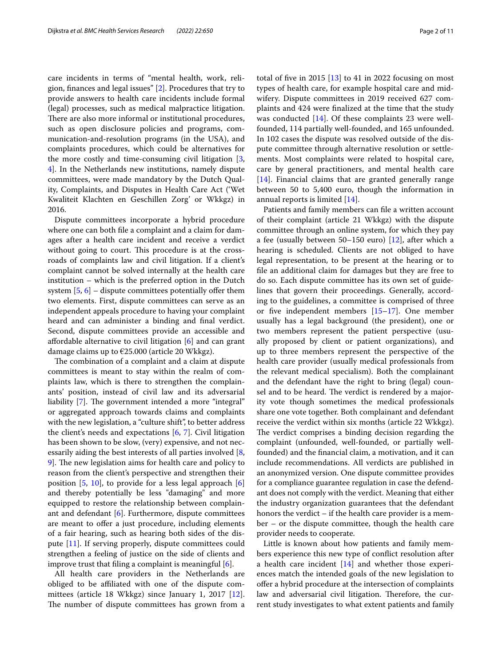care incidents in terms of "mental health, work, religion, fnances and legal issues" [[2\]](#page-9-1). Procedures that try to provide answers to health care incidents include formal (legal) processes, such as medical malpractice litigation. There are also more informal or institutional procedures, such as open disclosure policies and programs, communication-and-resolution programs (in the USA), and complaints procedures, which could be alternatives for the more costly and time-consuming civil litigation [\[3](#page-9-2), [4\]](#page-9-3). In the Netherlands new institutions, namely dispute committees, were made mandatory by the Dutch Quality, Complaints, and Disputes in Health Care Act ('Wet Kwaliteit Klachten en Geschillen Zorg' or Wkkgz) in 2016.

Dispute committees incorporate a hybrid procedure where one can both fle a complaint and a claim for damages after a health care incident and receive a verdict without going to court. This procedure is at the crossroads of complaints law and civil litigation. If a client's complaint cannot be solved internally at the health care institution – which is the preferred option in the Dutch system  $[5, 6]$  $[5, 6]$  $[5, 6]$  – dispute committees potentially offer them two elements. First, dispute committees can serve as an independent appeals procedure to having your complaint heard and can administer a binding and fnal verdict. Second, dispute committees provide an accessible and afordable alternative to civil litigation [[6\]](#page-9-5) and can grant damage claims up to €25.000 (article 20 Wkkgz).

The combination of a complaint and a claim at dispute committees is meant to stay within the realm of complaints law, which is there to strengthen the complainants' position, instead of civil law and its adversarial liability [[7\]](#page-9-6). The government intended a more "integral" or aggregated approach towards claims and complaints with the new legislation, a "culture shift", to better address the client's needs and expectations [\[6](#page-9-5), [7\]](#page-9-6). Civil litigation has been shown to be slow, (very) expensive, and not necessarily aiding the best interests of all parties involved [\[8](#page-9-7), [9\]](#page-9-8). The new legislation aims for health care and policy to reason from the client's perspective and strengthen their position [\[5,](#page-9-4) [10\]](#page-9-9), to provide for a less legal approach [\[6](#page-9-5)] and thereby potentially be less "damaging" and more equipped to restore the relationship between complainant and defendant  $[6]$  $[6]$ . Furthermore, dispute committees are meant to offer a just procedure, including elements of a fair hearing, such as hearing both sides of the dispute [[11](#page-9-10)]. If serving properly, dispute committees could strengthen a feeling of justice on the side of clients and improve trust that fling a complaint is meaningful [\[6](#page-9-5)].

All health care providers in the Netherlands are obliged to be afliated with one of the dispute committees (article 18 Wkkgz) since January 1, 2017 [\[12](#page-9-11)]. The number of dispute committees has grown from a total of five in 2015  $[13]$  $[13]$  to 41 in 2022 focusing on most types of health care, for example hospital care and midwifery. Dispute committees in 2019 received 627 complaints and 424 were fnalized at the time that the study was conducted [\[14](#page-9-13)]. Of these complaints 23 were wellfounded, 114 partially well-founded, and 165 unfounded. In 102 cases the dispute was resolved outside of the dispute committee through alternative resolution or settlements. Most complaints were related to hospital care, care by general practitioners, and mental health care [[14\]](#page-9-13). Financial claims that are granted generally range between 50 to 5,400 euro, though the information in annual reports is limited [[14](#page-9-13)].

Patients and family members can fle a written account of their complaint (article 21 Wkkgz) with the dispute committee through an online system, for which they pay a fee (usually between 50–150 euro) [\[12](#page-9-11)], after which a hearing is scheduled. Clients are not obliged to have legal representation, to be present at the hearing or to fle an additional claim for damages but they are free to do so. Each dispute committee has its own set of guidelines that govern their proceedings. Generally, according to the guidelines, a committee is comprised of three or five independent members  $[15-17]$  $[15-17]$ . One member usually has a legal background (the president), one or two members represent the patient perspective (usually proposed by client or patient organizations), and up to three members represent the perspective of the health care provider (usually medical professionals from the relevant medical specialism). Both the complainant and the defendant have the right to bring (legal) counsel and to be heard. The verdict is rendered by a majority vote though sometimes the medical professionals share one vote together. Both complainant and defendant receive the verdict within six months (article 22 Wkkgz). The verdict comprises a binding decision regarding the complaint (unfounded, well-founded, or partially wellfounded) and the fnancial claim, a motivation, and it can include recommendations. All verdicts are published in an anonymized version. One dispute committee provides for a compliance guarantee regulation in case the defendant does not comply with the verdict. Meaning that either the industry organization guarantees that the defendant honors the verdict – if the health care provider is a member – or the dispute committee, though the health care provider needs to cooperate.

Little is known about how patients and family members experience this new type of confict resolution after a health care incident [\[14\]](#page-9-13) and whether those experiences match the intended goals of the new legislation to ofer a hybrid procedure at the intersection of complaints law and adversarial civil litigation. Therefore, the current study investigates to what extent patients and family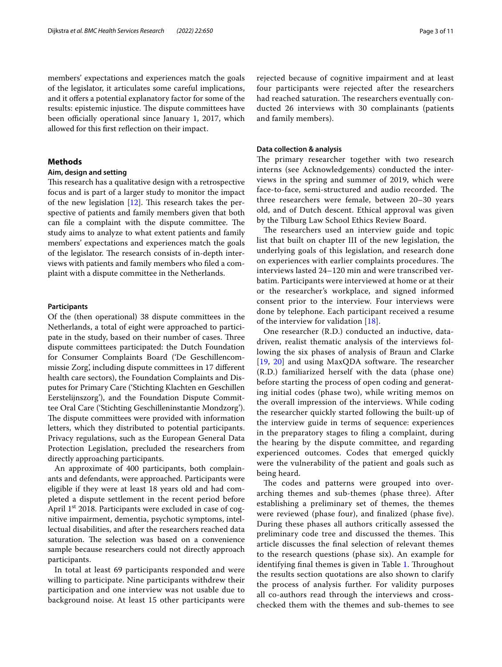members' expectations and experiences match the goals of the legislator, it articulates some careful implications, and it offers a potential explanatory factor for some of the results: epistemic injustice. The dispute committees have been officially operational since January 1, 2017, which allowed for this frst refection on their impact.

# **Methods**

## **Aim, design and setting**

This research has a qualitative design with a retrospective focus and is part of a larger study to monitor the impact of the new legislation  $[12]$  $[12]$ . This research takes the perspective of patients and family members given that both can file a complaint with the dispute committee. The study aims to analyze to what extent patients and family members' expectations and experiences match the goals of the legislator. The research consists of in-depth interviews with patients and family members who fled a complaint with a dispute committee in the Netherlands.

# **Participants**

Of the (then operational) 38 dispute committees in the Netherlands, a total of eight were approached to participate in the study, based on their number of cases. Three dispute committees participated: the Dutch Foundation for Consumer Complaints Board ('De Geschillencommissie Zorg', including dispute committees in 17 diferent health care sectors), the Foundation Complaints and Disputes for Primary Care ('Stichting Klachten en Geschillen Eerstelijnszorg'), and the Foundation Dispute Committee Oral Care ('Stichting Geschilleninstantie Mondzorg'). The dispute committees were provided with information letters, which they distributed to potential participants. Privacy regulations, such as the European General Data Protection Legislation, precluded the researchers from directly approaching participants.

An approximate of 400 participants, both complainants and defendants, were approached. Participants were eligible if they were at least 18 years old and had completed a dispute settlement in the recent period before April 1<sup>st</sup> 2018. Participants were excluded in case of cognitive impairment, dementia, psychotic symptoms, intellectual disabilities, and after the researchers reached data saturation. The selection was based on a convenience sample because researchers could not directly approach participants.

In total at least 69 participants responded and were willing to participate. Nine participants withdrew their participation and one interview was not usable due to background noise. At least 15 other participants were rejected because of cognitive impairment and at least four participants were rejected after the researchers had reached saturation. The researchers eventually conducted 26 interviews with 30 complainants (patients and family members).

# **Data collection & analysis**

The primary researcher together with two research interns (see Acknowledgements) conducted the interviews in the spring and summer of 2019, which were face-to-face, semi-structured and audio recorded. The three researchers were female, between 20–30 years old, and of Dutch descent. Ethical approval was given by the Tilburg Law School Ethics Review Board.

The researchers used an interview guide and topic list that built on chapter III of the new legislation, the underlying goals of this legislation, and research done on experiences with earlier complaints procedures. The interviews lasted 24–120 min and were transcribed verbatim. Participants were interviewed at home or at their or the researcher's workplace, and signed informed consent prior to the interview. Four interviews were done by telephone. Each participant received a resume of the interview for validation [[18](#page-9-16)].

One researcher (R.D.) conducted an inductive, datadriven, realist thematic analysis of the interviews following the six phases of analysis of Braun and Clarke  $[19, 20]$  $[19, 20]$  $[19, 20]$  $[19, 20]$  and using MaxQDA software. The researcher (R.D.) familiarized herself with the data (phase one) before starting the process of open coding and generating initial codes (phase two), while writing memos on the overall impression of the interviews. While coding the researcher quickly started following the built-up of the interview guide in terms of sequence: experiences in the preparatory stages to fling a complaint, during the hearing by the dispute committee, and regarding experienced outcomes. Codes that emerged quickly were the vulnerability of the patient and goals such as being heard.

The codes and patterns were grouped into overarching themes and sub-themes (phase three). After establishing a preliminary set of themes, the themes were reviewed (phase four), and fnalized (phase fve). During these phases all authors critically assessed the preliminary code tree and discussed the themes. This article discusses the fnal selection of relevant themes to the research questions (phase six). An example for identifying final themes is given in Table [1](#page-3-0). Throughout the results section quotations are also shown to clarify the process of analysis further. For validity purposes all co-authors read through the interviews and crosschecked them with the themes and sub-themes to see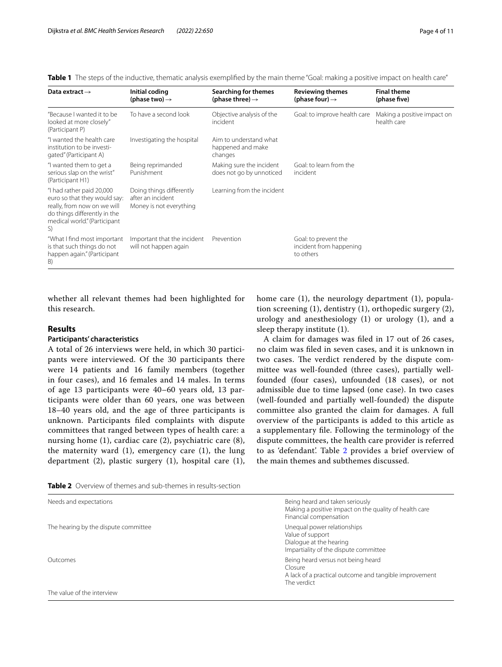| Data extract $\rightarrow$                                                                                                                                     | Initial coding<br>(phase two) $\rightarrow$                              | Searching for themes<br>(phase three) $\rightarrow$    | <b>Reviewing themes</b><br>(phase four) $\rightarrow$        | <b>Final theme</b><br>(phase five)         |
|----------------------------------------------------------------------------------------------------------------------------------------------------------------|--------------------------------------------------------------------------|--------------------------------------------------------|--------------------------------------------------------------|--------------------------------------------|
| "Because I wanted it to be<br>looked at more closely"<br>(Participant P)                                                                                       | To have a second look                                                    | Objective analysis of the<br>incident                  | Goal: to improve health care                                 | Making a positive impact on<br>health care |
| "I wanted the health care<br>institution to be investi-<br>gated" (Participant A)                                                                              | Investigating the hospital                                               | Aim to understand what<br>happened and make<br>changes |                                                              |                                            |
| "I wanted them to get a<br>serious slap on the wrist"<br>(Participant H1)                                                                                      | Being reprimanded<br>Punishment                                          | Making sure the incident<br>does not go by unnoticed   | Goal: to learn from the<br>incident                          |                                            |
| "I had rather paid 20,000<br>euro so that they would say:<br>really, from now on we will<br>do things differently in the<br>medical world." (Participant<br>S) | Doing things differently<br>after an incident<br>Money is not everything | Learning from the incident                             |                                                              |                                            |
| "What I find most important<br>is that such things do not<br>happen again." (Participant<br>B)                                                                 | Important that the incident<br>will not happen again                     | Prevention                                             | Goal: to prevent the<br>incident from happening<br>to others |                                            |

<span id="page-3-0"></span>**Table 1** The steps of the inductive, thematic analysis exemplifed by the main theme "Goal: making a positive impact on health care"

whether all relevant themes had been highlighted for this research.

# **Results**

# **Participants' characteristics**

A total of 26 interviews were held, in which 30 participants were interviewed. Of the 30 participants there were 14 patients and 16 family members (together in four cases), and 16 females and 14 males. In terms of age 13 participants were 40–60 years old, 13 participants were older than 60 years, one was between 18–40 years old, and the age of three participants is unknown. Participants fled complaints with dispute committees that ranged between types of health care: a nursing home (1), cardiac care (2), psychiatric care (8), the maternity ward (1), emergency care (1), the lung department (2), plastic surgery (1), hospital care (1), home care (1), the neurology department (1), population screening (1), dentistry (1), orthopedic surgery (2), urology and anesthesiology (1) or urology (1), and a sleep therapy institute (1).

A claim for damages was fled in 17 out of 26 cases, no claim was fled in seven cases, and it is unknown in two cases. The verdict rendered by the dispute committee was well-founded (three cases), partially wellfounded (four cases), unfounded (18 cases), or not admissible due to time lapsed (one case). In two cases (well-founded and partially well-founded) the dispute committee also granted the claim for damages. A full overview of the participants is added to this article as a supplementary fle. Following the terminology of the dispute committees, the health care provider is referred to as 'defendant'. Table [2](#page-3-1) provides a brief overview of the main themes and subthemes discussed.

<span id="page-3-1"></span>

| <b>Table 2</b> Overview of themes and sub-themes in results-section |  |
|---------------------------------------------------------------------|--|
|---------------------------------------------------------------------|--|

| Needs and expectations               | Being heard and taken seriously<br>Making a positive impact on the quality of health care<br>Financial compensation    |
|--------------------------------------|------------------------------------------------------------------------------------------------------------------------|
| The hearing by the dispute committee | Unequal power relationships<br>Value of support<br>Dialogue at the hearing<br>Impartiality of the dispute committee    |
| Outcomes                             | Being heard versus not being heard<br>Closure<br>A lack of a practical outcome and tangible improvement<br>The verdict |
| The value of the interview           |                                                                                                                        |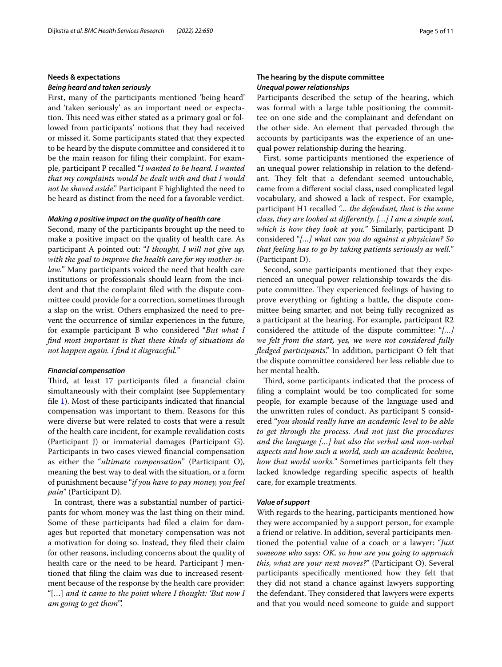# **Needs & expectations**

# *Being heard and taken seriously*

First, many of the participants mentioned 'being heard' and 'taken seriously' as an important need or expectation. This need was either stated as a primary goal or followed from participants' notions that they had received or missed it. Some participants stated that they expected to be heard by the dispute committee and considered it to be the main reason for fling their complaint. For example, participant P recalled "*I wanted to be heard. I wanted that my complaints would be dealt with and that I would not be shoved aside*." Participant F highlighted the need to be heard as distinct from the need for a favorable verdict.

# *Making a positive impact on the quality of health care*

Second, many of the participants brought up the need to make a positive impact on the quality of health care. As participant A pointed out: "*I thought, I will not give up, with the goal to improve the health care for my mother-inlaw.*" Many participants voiced the need that health care institutions or professionals should learn from the incident and that the complaint fled with the dispute committee could provide for a correction, sometimes through a slap on the wrist. Others emphasized the need to prevent the occurrence of similar experiences in the future, for example participant B who considered "*But what I fnd most important is that these kinds of situations do not happen again. I fnd it disgraceful.*"

## *Financial compensation*

Third, at least 17 participants filed a financial claim simultaneously with their complaint (see Supplementary fle [1\)](#page-9-19). Most of these participants indicated that fnancial compensation was important to them. Reasons for this were diverse but were related to costs that were a result of the health care incident, for example revalidation costs (Participant J) or immaterial damages (Participant G). Participants in two cases viewed fnancial compensation as either the "*ultimate compensation*" (Participant O), meaning the best way to deal with the situation, or a form of punishment because "*if you have to pay money, you feel pain*" (Participant D).

In contrast, there was a substantial number of participants for whom money was the last thing on their mind. Some of these participants had fled a claim for damages but reported that monetary compensation was not a motivation for doing so. Instead, they fled their claim for other reasons, including concerns about the quality of health care or the need to be heard. Participant J mentioned that fling the claim was due to increased resentment because of the response by the health care provider: "[…] *and it came to the point where I thought: 'But now I am going to get them*'".

# **The hearing by the dispute committee** *Unequal power relationships*

Participants described the setup of the hearing, which was formal with a large table positioning the committee on one side and the complainant and defendant on the other side. An element that pervaded through the accounts by participants was the experience of an unequal power relationship during the hearing.

First, some participants mentioned the experience of an unequal power relationship in relation to the defendant. They felt that a defendant seemed untouchable, came from a diferent social class, used complicated legal vocabulary, and showed a lack of respect. For example, participant H1 recalled *"… the defendant, that is the same class, they are looked at diferently. […] I am a simple soul, which is how they look at you.*" Similarly, participant D considered "*[…] what can you do against a physician? So that feeling has to go by taking patients seriously as well.*" (Participant D).

Second, some participants mentioned that they experienced an unequal power relationship towards the dispute committee. They experienced feelings of having to prove everything or fghting a battle, the dispute committee being smarter, and not being fully recognized as a participant at the hearing. For example, participant R2 considered the attitude of the dispute committee: "*[…] we felt from the start, yes, we were not considered fully fedged participants*." In addition, participant O felt that the dispute committee considered her less reliable due to her mental health.

Third, some participants indicated that the process of fling a complaint would be too complicated for some people, for example because of the language used and the unwritten rules of conduct. As participant S considered "*you should really have an academic level to be able to get through the process. And not just the procedures and the language […] but also the verbal and non-verbal aspects and how such a world, such an academic beehive, how that world works.*" Sometimes participants felt they lacked knowledge regarding specifc aspects of health care, for example treatments.

# *Value of support*

With regards to the hearing, participants mentioned how they were accompanied by a support person, for example a friend or relative. In addition, several participants mentioned the potential value of a coach or a lawyer: "*Just someone who says: OK, so how are you going to approach this, what are your next moves?*" (Participant O). Several participants specifcally mentioned how they felt that they did not stand a chance against lawyers supporting the defendant. They considered that lawyers were experts and that you would need someone to guide and support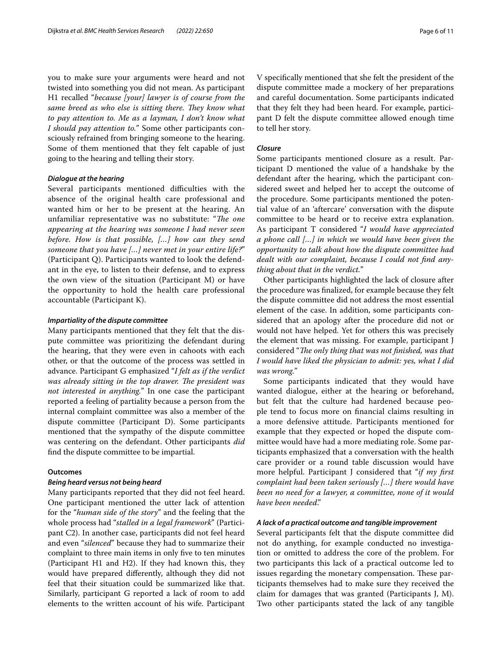you to make sure your arguments were heard and not twisted into something you did not mean. As participant H1 recalled "*because [your] lawyer is of course from the same breed as who else is sitting there. They know what to pay attention to. Me as a layman, I don't know what I should pay attention to.*" Some other participants consciously refrained from bringing someone to the hearing. Some of them mentioned that they felt capable of just going to the hearing and telling their story.

## *Dialogue at the hearing*

Several participants mentioned difficulties with the absence of the original health care professional and wanted him or her to be present at the hearing. An unfamiliar representative was no substitute: "The one *appearing at the hearing was someone I had never seen before. How is that possible, […] how can they send someone that you have […] never met in your entire life?*" (Participant Q). Participants wanted to look the defendant in the eye, to listen to their defense, and to express the own view of the situation (Participant M) or have the opportunity to hold the health care professional accountable (Participant K).

# *Impartiality of the dispute committee*

Many participants mentioned that they felt that the dispute committee was prioritizing the defendant during the hearing, that they were even in cahoots with each other, or that the outcome of the process was settled in advance. Participant G emphasized "*I felt as if the verdict*  was already sitting in the top drawer. The president was *not interested in anything.*" In one case the participant reported a feeling of partiality because a person from the internal complaint committee was also a member of the dispute committee (Participant D). Some participants mentioned that the sympathy of the dispute committee was centering on the defendant. Other participants *did* fnd the dispute committee to be impartial.

# **Outcomes**

# *Being heard versus not being heard*

Many participants reported that they did not feel heard. One participant mentioned the utter lack of attention for the "*human side of the story*" and the feeling that the whole process had "*stalled in a legal framework*" (Participant C2). In another case, participants did not feel heard and even "*silenced*" because they had to summarize their complaint to three main items in only fve to ten minutes (Participant H1 and H2). If they had known this, they would have prepared diferently, although they did not feel that their situation could be summarized like that. Similarly, participant G reported a lack of room to add elements to the written account of his wife. Participant

V specifcally mentioned that she felt the president of the dispute committee made a mockery of her preparations and careful documentation. Some participants indicated that they felt they had been heard. For example, participant D felt the dispute committee allowed enough time to tell her story.

# *Closure*

Some participants mentioned closure as a result. Participant D mentioned the value of a handshake by the defendant after the hearing, which the participant considered sweet and helped her to accept the outcome of the procedure. Some participants mentioned the potential value of an 'aftercare' conversation with the dispute committee to be heard or to receive extra explanation. As participant T considered "*I would have appreciated a phone call […] in which we would have been given the opportunity to talk about how the dispute committee had dealt with our complaint, because I could not fnd anything about that in the verdict.*"

Other participants highlighted the lack of closure after the procedure was fnalized, for example because they felt the dispute committee did not address the most essential element of the case. In addition, some participants considered that an apology after the procedure did not or would not have helped. Yet for others this was precisely the element that was missing. For example, participant J considered "*Te only thing that was not fnished, was that I would have liked the physician to admit: yes, what I did was wrong.*"

Some participants indicated that they would have wanted dialogue, either at the hearing or beforehand, but felt that the culture had hardened because people tend to focus more on fnancial claims resulting in a more defensive attitude. Participants mentioned for example that they expected or hoped the dispute committee would have had a more mediating role. Some participants emphasized that a conversation with the health care provider or a round table discussion would have more helpful. Participant J considered that "*if my frst complaint had been taken seriously […] there would have been no need for a lawyer, a committee, none of it would have been needed*."

# *A lack of a practical outcome and tangible improvement*

Several participants felt that the dispute committee did not do anything, for example conducted no investigation or omitted to address the core of the problem. For two participants this lack of a practical outcome led to issues regarding the monetary compensation. These participants themselves had to make sure they received the claim for damages that was granted (Participants J, M). Two other participants stated the lack of any tangible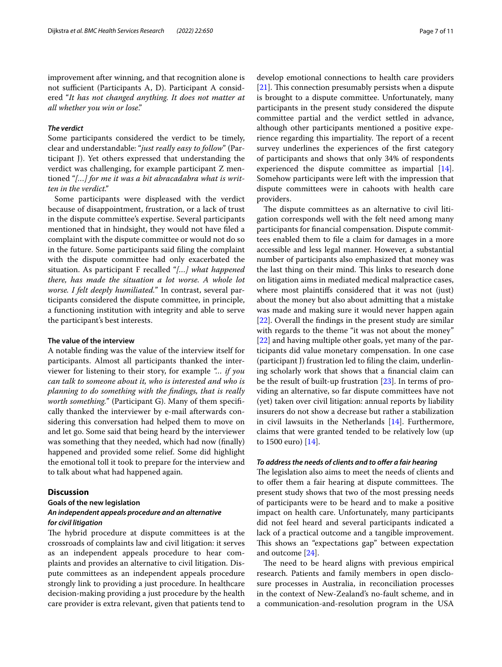improvement after winning, and that recognition alone is not sufficient (Participants A, D). Participant A considered "*It has not changed anything. It does not matter at all whether you win or lose*."

## *The verdict*

Some participants considered the verdict to be timely, clear and understandable: "*just really easy to follow*" (Participant J). Yet others expressed that understanding the verdict was challenging, for example participant Z mentioned "*[…] for me it was a bit abracadabra what is written in the verdict."*

Some participants were displeased with the verdict because of disappointment, frustration, or a lack of trust in the dispute committee's expertise. Several participants mentioned that in hindsight, they would not have fled a complaint with the dispute committee or would not do so in the future. Some participants said fling the complaint with the dispute committee had only exacerbated the situation. As participant F recalled "*[…] what happened there, has made the situation a lot worse. A whole lot worse. I felt deeply humiliated.*" In contrast, several participants considered the dispute committee, in principle, a functioning institution with integrity and able to serve the participant's best interests.

# **The value of the interview**

A notable fnding was the value of the interview itself for participants. Almost all participants thanked the interviewer for listening to their story, for example *"… if you can talk to someone about it, who is interested and who is planning to do something with the fndings, that is really worth something.*" (Participant G). Many of them specifically thanked the interviewer by e-mail afterwards considering this conversation had helped them to move on and let go. Some said that being heard by the interviewer was something that they needed, which had now (fnally) happened and provided some relief. Some did highlight the emotional toll it took to prepare for the interview and to talk about what had happened again.

# **Discussion**

# **Goals of the new legislation** *An independent appeals procedure and an alternative for civil litigation*

The hybrid procedure at dispute committees is at the crossroads of complaints law and civil litigation: it serves as an independent appeals procedure to hear complaints and provides an alternative to civil litigation. Dispute committees as an independent appeals procedure strongly link to providing a just procedure. In healthcare decision-making providing a just procedure by the health care provider is extra relevant, given that patients tend to develop emotional connections to health care providers  $[21]$  $[21]$ . This connection presumably persists when a dispute is brought to a dispute committee. Unfortunately, many participants in the present study considered the dispute committee partial and the verdict settled in advance, although other participants mentioned a positive experience regarding this impartiality. The report of a recent survey underlines the experiences of the frst category of participants and shows that only 34% of respondents experienced the dispute committee as impartial [\[14](#page-9-13)]. Somehow participants were left with the impression that dispute committees were in cahoots with health care providers.

The dispute committees as an alternative to civil litigation corresponds well with the felt need among many participants for fnancial compensation. Dispute committees enabled them to fle a claim for damages in a more accessible and less legal manner. However, a substantial number of participants also emphasized that money was the last thing on their mind. This links to research done on litigation aims in mediated medical malpractice cases, where most plaintifs considered that it was not (just) about the money but also about admitting that a mistake was made and making sure it would never happen again [[22\]](#page-9-21). Overall the fndings in the present study are similar with regards to the theme "it was not about the money" [[22\]](#page-9-21) and having multiple other goals, yet many of the participants did value monetary compensation. In one case (participant J) frustration led to fling the claim, underlining scholarly work that shows that a fnancial claim can be the result of built-up frustration [[23\]](#page-9-22). In terms of providing an alternative, so far dispute committees have not (yet) taken over civil litigation: annual reports by liability insurers do not show a decrease but rather a stabilization in civil lawsuits in the Netherlands [\[14\]](#page-9-13). Furthermore, claims that were granted tended to be relatively low (up to 1500 euro) [[14\]](#page-9-13).

# *To address the needs of clients and to ofer a fair hearing*

The legislation also aims to meet the needs of clients and to offer them a fair hearing at dispute committees. The present study shows that two of the most pressing needs of participants were to be heard and to make a positive impact on health care. Unfortunately, many participants did not feel heard and several participants indicated a lack of a practical outcome and a tangible improvement. This shows an "expectations gap" between expectation and outcome [[24](#page-9-23)].

The need to be heard aligns with previous empirical research. Patients and family members in open disclosure processes in Australia, in reconciliation processes in the context of New-Zealand's no-fault scheme, and in a communication-and-resolution program in the USA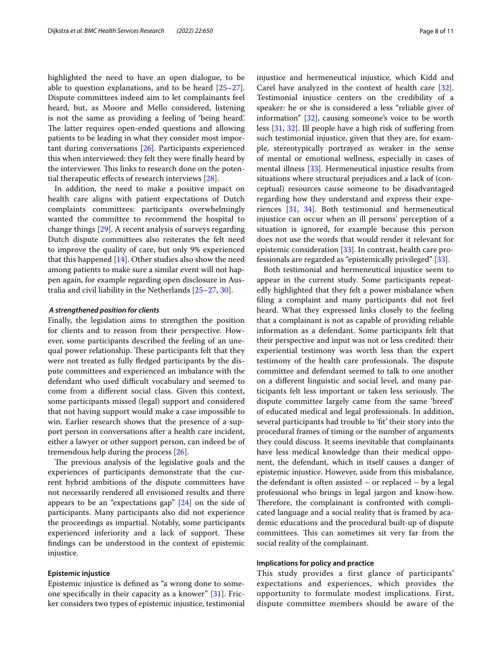highlighted the need to have an open dialogue, to be able to question explanations, and to be heard [[25](#page-9-24)[–27](#page-9-25)]. Dispute committees indeed aim to let complainants feel heard, but, as Moore and Mello considered, listening is not the same as providing a feeling of 'being heard'. The latter requires open-ended questions and allowing patients to be leading in what they consider most important during conversations [[26\]](#page-9-26). Participants experienced this when interviewed: they felt they were fnally heard by the interviewer. This links to research done on the potential therapeutic efects of research interviews [[28\]](#page-10-0).

In addition, the need to make a positive impact on health care aligns with patient expectations of Dutch complaints committees: participants overwhelmingly wanted the committee to recommend the hospital to change things [[29\]](#page-10-1). A recent analysis of surveys regarding Dutch dispute committees also reiterates the felt need to improve the quality of care, but only 9% experienced that this happened [\[14](#page-9-13)]. Other studies also show the need among patients to make sure a similar event will not happen again, for example regarding open disclosure in Australia and civil liability in the Netherlands [\[25](#page-9-24)–[27,](#page-9-25) [30](#page-10-2)].

#### *A strengthened position for clients*

Finally, the legislation aims to strengthen the position for clients and to reason from their perspective. However, some participants described the feeling of an unequal power relationship. These participants felt that they were not treated as fully fedged participants by the dispute committees and experienced an imbalance with the defendant who used difficult vocabulary and seemed to come from a diferent social class. Given this context, some participants missed (legal) support and considered that not having support would make a case impossible to win. Earlier research shows that the presence of a support person in conversations after a health care incident, either a lawyer or other support person, can indeed be of tremendous help during the process [\[26\]](#page-9-26).

The previous analysis of the legislative goals and the experiences of participants demonstrate that the current hybrid ambitions of the dispute committees have not necessarily rendered all envisioned results and there appears to be an "expectations gap" [[24](#page-9-23)] on the side of participants. Many participants also did not experience the proceedings as impartial. Notably, some participants experienced inferiority and a lack of support. These fndings can be understood in the context of epistemic injustice.

# **Epistemic injustice**

Epistemic injustice is defned as "a wrong done to someone specifcally in their capacity as a knower" [[31\]](#page-10-3). Fricker considers two types of epistemic injustice, testimonial injustice and hermeneutical injustice, which Kidd and Carel have analyzed in the context of health care [\[32](#page-10-4)]. Testimonial injustice centers on the credibility of a speaker: he or she is considered a less "reliable giver of information" [[32\]](#page-10-4), causing someone's voice to be worth less [[31](#page-10-3), [32](#page-10-4)]. Ill people have a high risk of sufering from such testimonial injustice, given that they are, for example, stereotypically portrayed as weaker in the sense of mental or emotional wellness, especially in cases of mental illness [[33\]](#page-10-5). Hermeneutical injustice results from situations where structural prejudices and a lack of (conceptual) resources cause someone to be disadvantaged regarding how they understand and express their experiences [[31,](#page-10-3) [34](#page-10-6)]. Both testimonial and hermeneutical injustice can occur when an ill persons' perception of a situation is ignored, for example because this person does not use the words that would render it relevant for epistemic consideration [\[33](#page-10-5)]. In contrast, health care professionals are regarded as "epistemically privileged" [[33](#page-10-5)].

Both testimonial and hermeneutical injustice seem to appear in the current study. Some participants repeatedly highlighted that they felt a power misbalance when fling a complaint and many participants did not feel heard. What they expressed links closely to the feeling that a complainant is not as capable of providing reliable information as a defendant. Some participants felt that their perspective and input was not or less credited: their experiential testimony was worth less than the expert testimony of the health care professionals. The dispute committee and defendant seemed to talk to one another on a diferent linguistic and social level, and many participants felt less important or taken less seriously. The dispute committee largely came from the same 'breed' of educated medical and legal professionals. In addition, several participants had trouble to 'ft' their story into the procedural frames of timing or the number of arguments they could discuss. It seems inevitable that complainants have less medical knowledge than their medical opponent, the defendant, which in itself causes a danger of epistemic injustice. However, aside from this misbalance, the defendant is often assisted – or replaced – by a legal professional who brings in legal jargon and know-how. Therefore, the complainant is confronted with complicated language and a social reality that is framed by academic educations and the procedural built-up of dispute committees. This can sometimes sit very far from the social reality of the complainant.

## **Implications for policy and practice**

This study provides a first glance of participants' expectations and experiences, which provides the opportunity to formulate modest implications. First, dispute committee members should be aware of the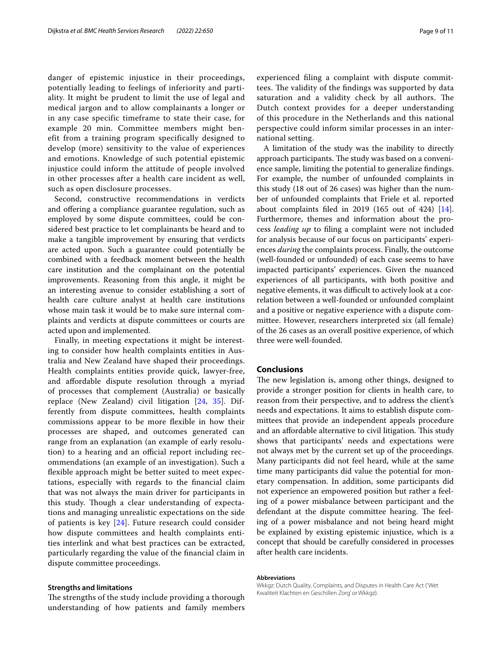danger of epistemic injustice in their proceedings, potentially leading to feelings of inferiority and partiality. It might be prudent to limit the use of legal and medical jargon and to allow complainants a longer or in any case specific timeframe to state their case, for example 20 min. Committee members might benefit from a training program specifically designed to develop (more) sensitivity to the value of experiences and emotions. Knowledge of such potential epistemic injustice could inform the attitude of people involved in other processes after a health care incident as well, such as open disclosure processes.

Second, constructive recommendations in verdicts and offering a compliance guarantee regulation, such as employed by some dispute committees, could be considered best practice to let complainants be heard and to make a tangible improvement by ensuring that verdicts are acted upon. Such a guarantee could potentially be combined with a feedback moment between the health care institution and the complainant on the potential improvements. Reasoning from this angle, it might be an interesting avenue to consider establishing a sort of health care culture analyst at health care institutions whose main task it would be to make sure internal complaints and verdicts at dispute committees or courts are acted upon and implemented.

Finally, in meeting expectations it might be interesting to consider how health complaints entities in Australia and New Zealand have shaped their proceedings. Health complaints entities provide quick, lawyer-free, and afordable dispute resolution through a myriad of processes that complement (Australia) or basically replace (New Zealand) civil litigation [\[24](#page-9-23), [35](#page-10-7)]. Differently from dispute committees, health complaints commissions appear to be more fexible in how their processes are shaped, and outcomes generated can range from an explanation (an example of early resolution) to a hearing and an official report including recommendations (an example of an investigation). Such a fexible approach might be better suited to meet expectations, especially with regards to the fnancial claim that was not always the main driver for participants in this study. Though a clear understanding of expectations and managing unrealistic expectations on the side of patients is key [[24](#page-9-23)]. Future research could consider how dispute committees and health complaints entities interlink and what best practices can be extracted, particularly regarding the value of the fnancial claim in dispute committee proceedings.

## **Strengths and limitations**

The strengths of the study include providing a thorough understanding of how patients and family members experienced fling a complaint with dispute committees. The validity of the findings was supported by data saturation and a validity check by all authors. The Dutch context provides for a deeper understanding of this procedure in the Netherlands and this national perspective could inform similar processes in an international setting.

A limitation of the study was the inability to directly approach participants. The study was based on a convenience sample, limiting the potential to generalize fndings. For example, the number of unfounded complaints in this study (18 out of 26 cases) was higher than the number of unfounded complaints that Friele et al. reported about complaints fled in 2019 (165 out of 424) [\[14](#page-9-13)]. Furthermore, themes and information about the process *leading up* to fling a complaint were not included for analysis because of our focus on participants' experiences *during* the complaints process. Finally, the outcome (well-founded or unfounded) of each case seems to have impacted participants' experiences. Given the nuanced experiences of all participants, with both positive and negative elements, it was difficult to actively look at a correlation between a well-founded or unfounded complaint and a positive or negative experience with a dispute committee. However, researchers interpreted six (all female) of the 26 cases as an overall positive experience, of which three were well-founded.

# **Conclusions**

The new legislation is, among other things, designed to provide a stronger position for clients in health care, to reason from their perspective, and to address the client's needs and expectations. It aims to establish dispute committees that provide an independent appeals procedure and an affordable alternative to civil litigation. This study shows that participants' needs and expectations were not always met by the current set up of the proceedings. Many participants did not feel heard, while at the same time many participants did value the potential for monetary compensation. In addition, some participants did not experience an empowered position but rather a feeling of a power misbalance between participant and the defendant at the dispute committee hearing. The feeling of a power misbalance and not being heard might be explained by existing epistemic injustice, which is a concept that should be carefully considered in processes after health care incidents.

## **Abbreviations**

Wkkgz: Dutch Quality, Complaints, and Disputes in Health Care Act ('Wet Kwaliteit Klachten en Geschillen Zorg' or Wkkgz).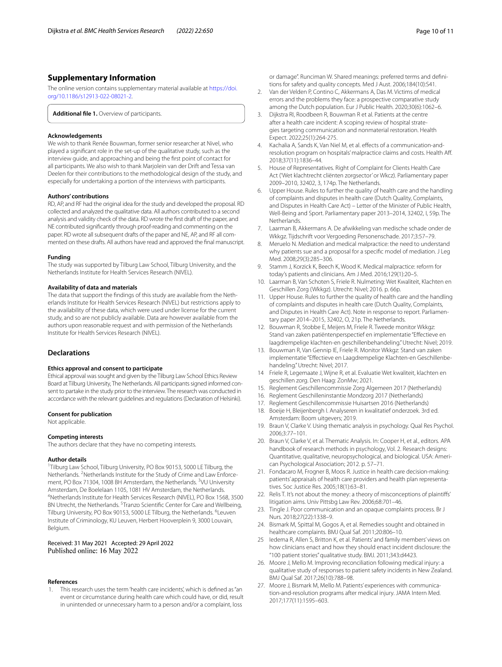# **Supplementary Information**

The online version contains supplementary material available at [https://doi.](https://doi.org/10.1186/s12913-022-08021-2) [org/10.1186/s12913-022-08021-2](https://doi.org/10.1186/s12913-022-08021-2).

<span id="page-9-19"></span>**Additional fle 1.** Overview of participants.

#### **Acknowledgements**

We wish to thank Renée Bouwman, former senior researcher at Nivel, who played a signifcant role in the set-up of the qualitative study, such as the interview guide, and approaching and being the frst point of contact for all participants. We also wish to thank Marjolein van der Drift and Tessa van Deelen for their contributions to the methodological design of the study, and especially for undertaking a portion of the interviews with participants.

## **Authors' contributions**

RD, AP, and RF had the original idea for the study and developed the proposal. RD collected and analyzed the qualitative data. All authors contributed to a second analysis and validity check of the data. RD wrote the frst draft of the paper, and NE contributed signifcantly through proof-reading and commenting on the paper. RD wrote all subsequent drafts of the paper and NE, AP, and RF all commented on these drafts. All authors have read and approved the fnal manuscript.

#### **Funding**

The study was supported by Tilburg Law School, Tilburg University, and the Netherlands Institute for Health Services Research (NIVEL).

## **Availability of data and materials**

The data that support the fndings of this study are available from the Netherlands Institute for Health Services Research (NIVEL) but restrictions apply to the availability of these data, which were used under license for the current study, and so are not publicly available. Data are however available from the authors upon reasonable request and with permission of the Netherlands Institute for Health Services Research (NIVEL).

## **Declarations**

## **Ethics approval and consent to participate**

Ethical approval was sought and given by the Tilburg Law School Ethics Review Board at Tilburg University, The Netherlands. All participants signed informed consent to partake in the study prior to the interview. The research was conducted in accordance with the relevant guidelines and regulations (Declaration of Helsinki).

## **Consent for publication**

Not applicable.

## **Competing interests**

The authors declare that they have no competing interests.

#### **Author details**

<sup>1</sup>Tilburg Law School, Tilburg University, PO Box 90153, 5000 LE Tilburg, the Netherlands. <sup>2</sup> Netherlands Institute for the Study of Crime and Law Enforcement, PO Box 71304, 1008 BH Amsterdam, the Netherlands. <sup>3</sup>VU University Amsterdam, De Boelelaan 1105, 1081 HV Amsterdam, the Netherlands. 4 Netherlands Institute for Health Services Research (NIVEL), PO Box 1568, 3500 BN Utrecht, the Netherlands. <sup>5</sup> Tranzo Scientific Center for Care and Wellbeing, Tilburg University, PO Box 90153, 5000 LE Tilburg, the Netherlands. <sup>6</sup>Leuven Institute of Criminology, KU Leuven, Herbert Hooverplein 9, 3000 Louvain, Belgium.

# Received: 31 May 2021 Accepted: 29 April 2022 Published online: 16 May 2022

#### **References**

<span id="page-9-0"></span>1. This research uses the term 'health care incidents', which is defned as "an event or circumstance during health care which could have, or did, result in unintended or unnecessary harm to a person and/or a complaint, loss

or damage". Runciman W. Shared meanings: preferred terms and defnitions for safety and quality concepts. Med J Aust. 2006;184(10):S41.

- <span id="page-9-1"></span>2. Van der Velden P, Contino C, Akkermans A, Das M. Victims of medical errors and the problems they face: a prospective comparative study among the Dutch population. Eur J Public Health. 2020;30(6):1062–6.
- <span id="page-9-2"></span>3. Dijkstra RI, Roodbeen R, Bouwman R et al. Patients at the centre after a health care incident: A scoping review of hospital strategies targeting communication and nonmaterial restoration. Health Expect. 2022;25(1):264-275.
- <span id="page-9-3"></span>4. Kachalia A, Sands K, Van Niel M, et al. efects of a communication-andresolution program on hospitals' malpractice claims and costs. Health Aff. 2018;37(11):1836–44.
- <span id="page-9-4"></span>5. House of Representatives. Right of Complaint for Clients Health Care Act ('Wet klachtrecht cliënten zorgsector' or Wkcz). Parliamentary paper 2009–2010, 32402, 3, 174p. The Netherlands.
- <span id="page-9-5"></span>Upper House. Rules to further the quality of health care and the handling of complaints and disputes in health care (Dutch Quality, Complaints, and Disputes in Health Care Act) – Letter of the Minister of Public Health, Well-Being and Sport. Parliamentary paper 2013–2014, 32402, I, 59p. The **Netherlands**
- <span id="page-9-6"></span>7. Laarman B, Akkermans A. De afwikkeling van medische schade onder de Wkkgz. Tijdschrift voor Vergoeding Personenschade. 2017;3:57–79.
- <span id="page-9-7"></span>8. Meruelo N. Mediation and medical malpractice: the need to understand why patients sue and a proposal for a specifc model of mediation. J Leg Med. 2008;29(3):285–306.
- <span id="page-9-8"></span>9. Stamm J, Korzick K, Beech K, Wood K. Medical malpractice: reform for today's patients and clinicians. Am J Med. 2016;129(1):20–5.
- <span id="page-9-9"></span>10. Laarman B, Van Schoten S, Friele R. Nulmeting: Wet Kwaliteit, Klachten en Geschillen Zorg (Wkkgz). Utrecht: Nivel; 2016. p. 66p.
- <span id="page-9-10"></span>11. Upper House. Rules to further the quality of health care and the handling of complaints and disputes in health care (Dutch Quality, Complaints, and Disputes in Health Care Act). Note in response to report. Parliamentary paper 2014–2015, 32402, O, 21p. The Netherlands.
- <span id="page-9-11"></span>12. Bouwman R, Stobbe E, Meijers M, Friele R. Tweede monitor Wkkgz: Stand van zaken patiëntenperspectief en implementatie "Efectieve en laagdrempelige klachten-en geschillenbehandeling." Utrecht: Nivel; 2019.
- <span id="page-9-12"></span>13. Bouwman R, Van Gennip IE, Friele R. Monitor Wkkgz: Stand van zaken implementatie "Efectieve en Laagdrempelige Klachten-en Geschillenbehandeling." Utrecht: Nivel; 2017.
- <span id="page-9-13"></span>14 Friele R, Legemaate J, Wijne R, et al. Evaluatie Wet kwaliteit, klachten en geschillen zorg. Den Haag: ZonMw; 2021.
- <span id="page-9-14"></span>15. Reglement Geschillencommissie Zorg Algemeen 2017 (Netherlands)
- 16. Reglement Geschilleninstantie Mondzorg 2017 (Netherlands)
- <span id="page-9-15"></span>17. Reglement Geschillencommissie Huisartsen 2016 (Netherlands)
- <span id="page-9-16"></span>18. Boeije H, Bleijenbergh I. Analyseren in kwalitatief onderzoek. 3rd ed. Amsterdam: Boom uitgevers; 2019.
- <span id="page-9-17"></span>19. Braun V, Clarke V. Using thematic analysis in psychology. Qual Res Psychol. 2006;3:77–101.
- <span id="page-9-18"></span>20. Braun V, Clarke V, et al. Thematic Analysis. In: Cooper H, et al., editors. APA handbook of research methods in psychology, Vol. 2. Research designs: Quantitative, qualitative, neuropsychological, and biological. USA: American Psychological Association; 2012. p. 57–71.
- <span id="page-9-20"></span>21. Fondacaro M, Frogner B, Moos R. Justice in health care decision-making: patients' appraisals of health care providers and health plan representatives. Soc Justice Res. 2005;18(1):63–81.
- <span id="page-9-21"></span>22. Relis T. It's not about the money: a theory of misconceptions of plaintifs' litigation aims. Univ Pittsbg Law Rev. 2006;68:701–46.
- <span id="page-9-22"></span>23. Tingle J. Poor communication and an opaque complaints process. Br J Nurs. 2018;27(22):1338–9.
- <span id="page-9-23"></span>24. Bismark M, Spittal M, Gogos A, et al. Remedies sought and obtained in healthcare complaints. BMJ Qual Saf. 2011;20:806–10.
- <span id="page-9-24"></span>25 Iedema R, Allen S, Britton K, et al. Patients' and family members' views on how clinicians enact and how they should enact incident disclosure: the "100 patient stories" qualitative study. BMJ. 2011;343:d4423.
- <span id="page-9-26"></span>26. Moore J, Mello M. Improving reconciliation following medical injury: a qualitative study of responses to patient safety incidents in New Zealand. BMJ Qual Saf. 2017;26(10):788–98.
- <span id="page-9-25"></span>27. Moore J, Bismark M, Mello M. Patients' experiences with communication-and-resolution programs after medical injury. JAMA Intern Med. 2017;177(11):1595–603.